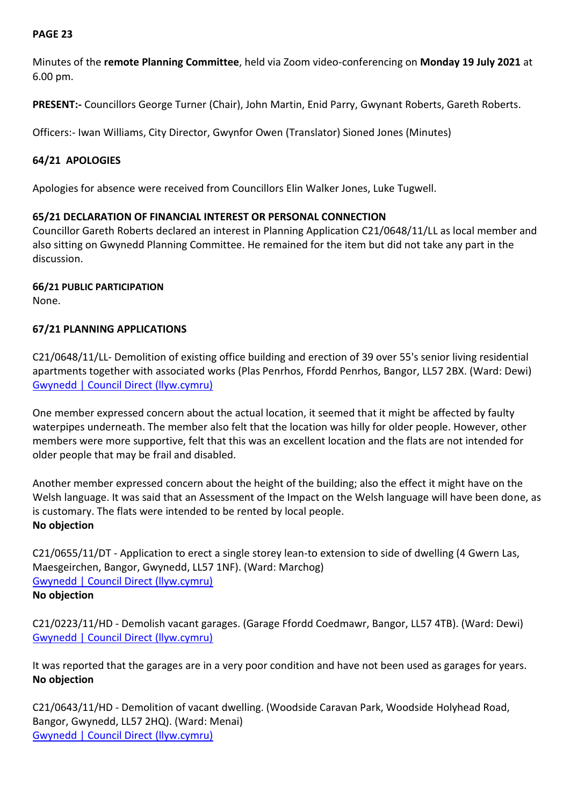# **PAGE 23**

Minutes of the **remote Planning Committee**, held via Zoom video-conferencing on **Monday 19 July 2021** at 6.00 pm.

**PRESENT:-** Councillors George Turner (Chair), John Martin, Enid Parry, Gwynant Roberts, Gareth Roberts.

Officers:- Iwan Williams, City Director, Gwynfor Owen (Translator) Sioned Jones (Minutes)

## **64/21 APOLOGIES**

Apologies for absence were received from Councillors Elin Walker Jones, Luke Tugwell.

### **65/21 DECLARATION OF FINANCIAL INTEREST OR PERSONAL CONNECTION**

Councillor Gareth Roberts declared an interest in Planning Application C21/0648/11/LL as local member and also sitting on Gwynedd Planning Committee. He remained for the item but did not take any part in the discussion.

**66/21 PUBLIC PARTICIPATION** None.

### **67/21 PLANNING APPLICATIONS**

C21/0648/11/LL- Demolition of existing office building and erection of 39 over 55's senior living residential apartments together with associated works (Plas Penrhos, Ffordd Penrhos, Bangor, LL57 2BX. (Ward: Dewi) [Gwynedd | Council Direct \(llyw.cymru\)](https://amg.gwynedd.llyw.cymru/planning/index.html?fa=getApplication&id=31927)

One member expressed concern about the actual location, it seemed that it might be affected by faulty waterpipes underneath. The member also felt that the location was hilly for older people. However, other members were more supportive, felt that this was an excellent location and the flats are not intended for older people that may be frail and disabled.

Another member expressed concern about the height of the building; also the effect it might have on the Welsh language. It was said that an Assessment of the Impact on the Welsh language will have been done, as is customary. The flats were intended to be rented by local people. **No objection**

C21/0655/11/DT - Application to erect a single storey lean-to extension to side of dwelling (4 Gwern Las, Maesgeirchen, Bangor, Gwynedd, LL57 1NF). (Ward: Marchog) [Gwynedd | Council Direct \(llyw.cymru\)](https://amg.gwynedd.llyw.cymru/planning/index.html?fa=getApplication&id=31947) **No objection**

C21/0223/11/HD - Demolish vacant garages. (Garage Ffordd Coedmawr, Bangor, LL57 4TB). (Ward: Dewi) [Gwynedd | Council Direct \(llyw.cymru\)](https://amg.gwynedd.llyw.cymru/planning/index.html?fa=getApplication&id=31943)

It was reported that the garages are in a very poor condition and have not been used as garages for years. **No objection**

C21/0643/11/HD - Demolition of vacant dwelling. (Woodside Caravan Park, Woodside Holyhead Road, Bangor, Gwynedd, LL57 2HQ). (Ward: Menai) [Gwynedd | Council Direct \(llyw.cymru\)](https://amg.gwynedd.llyw.cymru/planning/index.html?fa=getApplication&id=31933)